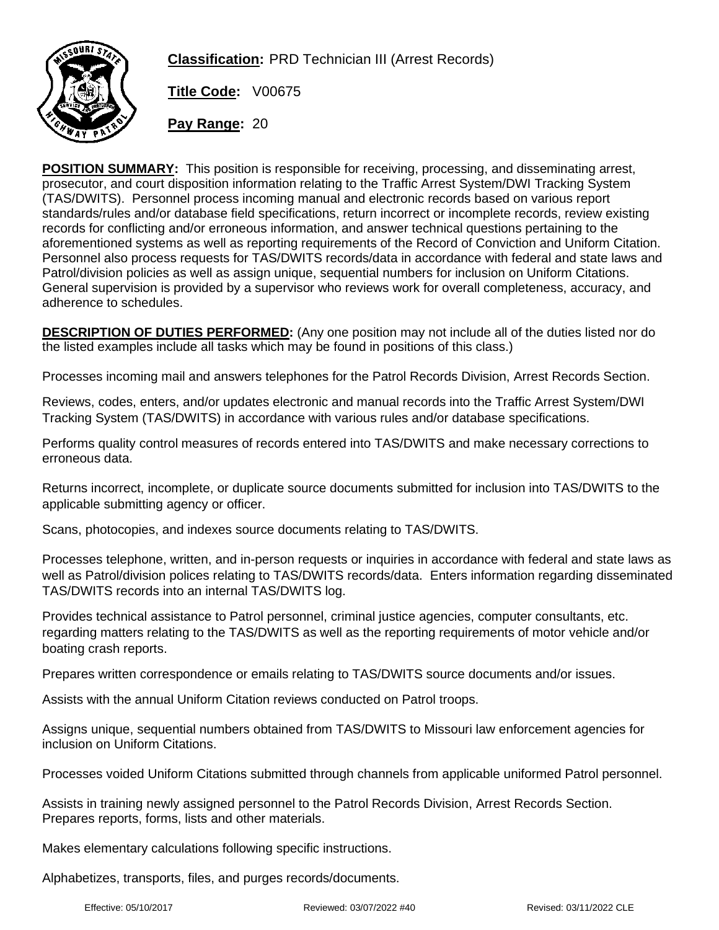

**Classification:** PRD Technician III (Arrest Records)

**Title Code:** V00675

**Pay Range:** 20

**POSITION SUMMARY:** This position is responsible for receiving, processing, and disseminating arrest, prosecutor, and court disposition information relating to the Traffic Arrest System/DWI Tracking System (TAS/DWITS). Personnel process incoming manual and electronic records based on various report standards/rules and/or database field specifications, return incorrect or incomplete records, review existing records for conflicting and/or erroneous information, and answer technical questions pertaining to the aforementioned systems as well as reporting requirements of the Record of Conviction and Uniform Citation. Personnel also process requests for TAS/DWITS records/data in accordance with federal and state laws and Patrol/division policies as well as assign unique, sequential numbers for inclusion on Uniform Citations. General supervision is provided by a supervisor who reviews work for overall completeness, accuracy, and adherence to schedules.

**DESCRIPTION OF DUTIES PERFORMED:** (Any one position may not include all of the duties listed nor do the listed examples include all tasks which may be found in positions of this class.)

Processes incoming mail and answers telephones for the Patrol Records Division, Arrest Records Section.

Reviews, codes, enters, and/or updates electronic and manual records into the Traffic Arrest System/DWI Tracking System (TAS/DWITS) in accordance with various rules and/or database specifications.

Performs quality control measures of records entered into TAS/DWITS and make necessary corrections to erroneous data.

Returns incorrect, incomplete, or duplicate source documents submitted for inclusion into TAS/DWITS to the applicable submitting agency or officer.

Scans, photocopies, and indexes source documents relating to TAS/DWITS.

Processes telephone, written, and in-person requests or inquiries in accordance with federal and state laws as well as Patrol/division polices relating to TAS/DWITS records/data. Enters information regarding disseminated TAS/DWITS records into an internal TAS/DWITS log.

Provides technical assistance to Patrol personnel, criminal justice agencies, computer consultants, etc. regarding matters relating to the TAS/DWITS as well as the reporting requirements of motor vehicle and/or boating crash reports.

Prepares written correspondence or emails relating to TAS/DWITS source documents and/or issues.

Assists with the annual Uniform Citation reviews conducted on Patrol troops.

Assigns unique, sequential numbers obtained from TAS/DWITS to Missouri law enforcement agencies for inclusion on Uniform Citations.

Processes voided Uniform Citations submitted through channels from applicable uniformed Patrol personnel.

Assists in training newly assigned personnel to the Patrol Records Division, Arrest Records Section. Prepares reports, forms, lists and other materials.

Makes elementary calculations following specific instructions.

Alphabetizes, transports, files, and purges records/documents.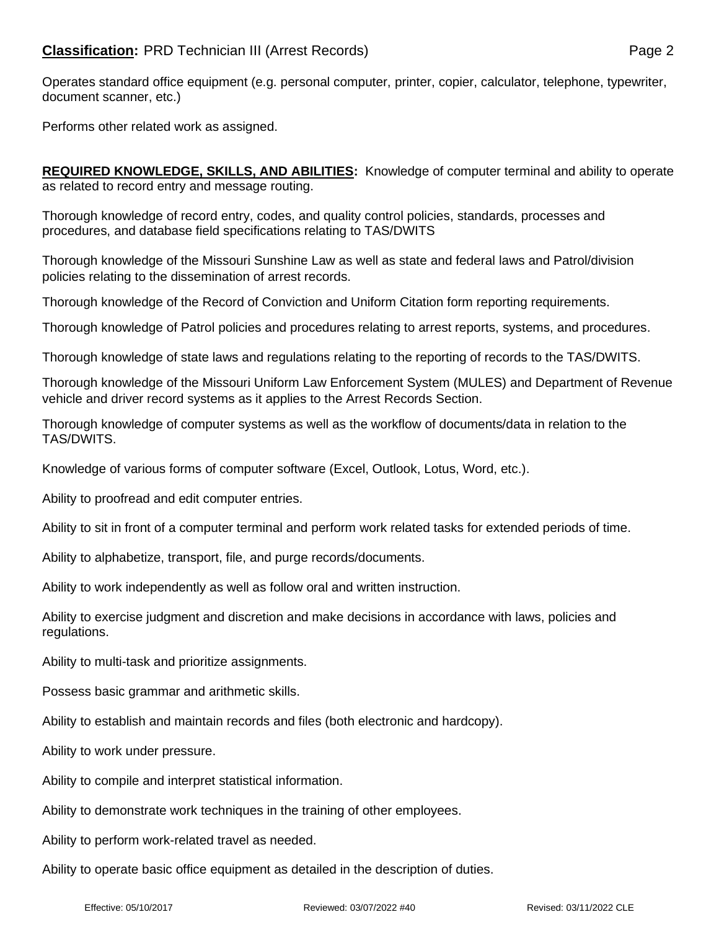Operates standard office equipment (e.g. personal computer, printer, copier, calculator, telephone, typewriter, document scanner, etc.)

Performs other related work as assigned.

**REQUIRED KNOWLEDGE, SKILLS, AND ABILITIES:** Knowledge of computer terminal and ability to operate as related to record entry and message routing.

Thorough knowledge of record entry, codes, and quality control policies, standards, processes and procedures, and database field specifications relating to TAS/DWITS

Thorough knowledge of the Missouri Sunshine Law as well as state and federal laws and Patrol/division policies relating to the dissemination of arrest records.

Thorough knowledge of the Record of Conviction and Uniform Citation form reporting requirements.

Thorough knowledge of Patrol policies and procedures relating to arrest reports, systems, and procedures.

Thorough knowledge of state laws and regulations relating to the reporting of records to the TAS/DWITS.

Thorough knowledge of the Missouri Uniform Law Enforcement System (MULES) and Department of Revenue vehicle and driver record systems as it applies to the Arrest Records Section.

Thorough knowledge of computer systems as well as the workflow of documents/data in relation to the TAS/DWITS.

Knowledge of various forms of computer software (Excel, Outlook, Lotus, Word, etc.).

Ability to proofread and edit computer entries.

Ability to sit in front of a computer terminal and perform work related tasks for extended periods of time.

Ability to alphabetize, transport, file, and purge records/documents.

Ability to work independently as well as follow oral and written instruction.

Ability to exercise judgment and discretion and make decisions in accordance with laws, policies and regulations.

Ability to multi-task and prioritize assignments.

Possess basic grammar and arithmetic skills.

Ability to establish and maintain records and files (both electronic and hardcopy).

Ability to work under pressure.

Ability to compile and interpret statistical information.

Ability to demonstrate work techniques in the training of other employees.

Ability to perform work-related travel as needed.

Ability to operate basic office equipment as detailed in the description of duties.